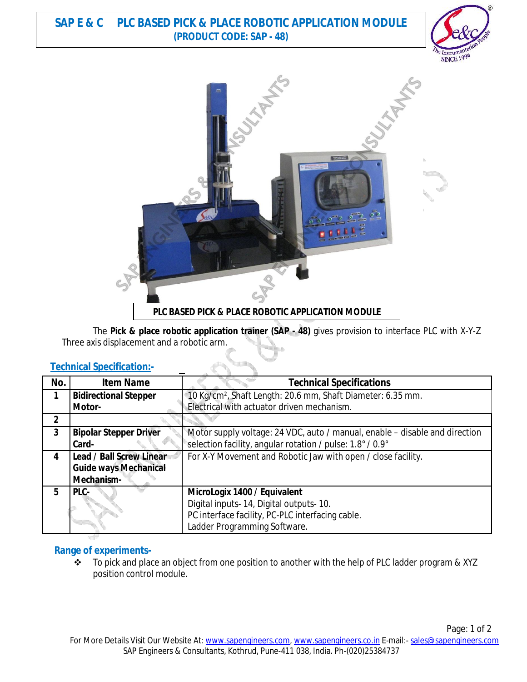# **SAP E & C PLC BASED PICK & PLACE ROBOTIC APPLICATION MODULE (PRODUCT CODE: SAP - 48)**





The **Pick & place robotic application trainer (SAP - 48)** gives provision to interface PLC with X-Y-Z Three axis displacement and a robotic arm.

## **Technical Specification:-**

| No.          | <b>Item Name</b>                | <b>Technical Specifications</b>                                             |
|--------------|---------------------------------|-----------------------------------------------------------------------------|
| 1            | <b>Bidirectional Stepper</b>    | 10 Kg/cm <sup>2</sup> , Shaft Length: 20.6 mm, Shaft Diameter: 6.35 mm.     |
|              | Motor-                          | Electrical with actuator driven mechanism.                                  |
| $\mathbf{2}$ |                                 |                                                                             |
| 3            | <b>Bipolar Stepper Driver</b>   | Motor supply voltage: 24 VDC, auto / manual, enable – disable and direction |
|              | Card-                           | selection facility, angular rotation / pulse: 1.8° / 0.9°                   |
| 4            | <b>Lead / Ball Screw Linear</b> | For X-Y Movement and Robotic Jaw with open / close facility.                |
|              | <b>Guide ways Mechanical</b>    |                                                                             |
|              | Mechanism-                      |                                                                             |
| 5            | PLC-                            | MicroLogix 1400 / Equivalent                                                |
|              |                                 | Digital inputs-14, Digital outputs-10.                                      |
|              |                                 | PC interface facility, PC-PLC interfacing cable.                            |
|              |                                 | Ladder Programming Software.                                                |

## **Range of experiments-**

To pick and place an object from one position to another with the help of PLC ladder program & XYZ position control module.